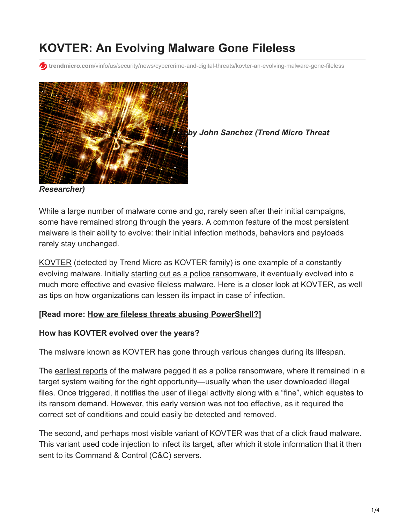# **KOVTER: An Evolving Malware Gone Fileless**

**f** trendmicro.com[/vinfo/us/security/news/cybercrime-and-digital-threats/kovter-an-evolving-malware-gone-fileless](https://www.trendmicro.com/vinfo/us/security/news/cybercrime-and-digital-threats/kovter-an-evolving-malware-gone-fileless)



*by John Sanchez (Trend Micro Threat*

*Researcher)*

While a large number of malware come and go, rarely seen after their initial campaigns, some have remained strong through the years. A common feature of the most persistent malware is their ability to evolve: their initial infection methods, behaviors and payloads rarely stay unchanged.

[KOVTER](https://esupport.trendmicro.com/en-us/home/index.aspx) (detected by Trend Micro as KOVTER family) is one example of a constantly evolving malware. Initially [starting out as a police ransomware,](http://blog.trendmicro.com/trendlabs-security-intelligence/key-figure-in-police-ransomware-activity-nabbed-2/) it eventually evolved into a much more effective and evasive fileless malware. Here is a closer look at KOVTER, as well as tips on how organizations can lessen its impact in case of infection.

### **[Read more: [How are fileless threats abusing PowerShell?](https://www.trendmicro.com/vinfo/us/security/news/security-technology/security-101-the-rise-of-fileless-threats-that-abuse-powershell)]**

#### **How has KOVTER evolved over the years?**

The malware known as KOVTER has gone through various changes during its lifespan.

The [earliest reports](https://www.v3.co.uk/v3-uk/news/2360128/kovter-police-ransomware-infecting-44-000-devices-per-day) of the malware pegged it as a police ransomware, where it remained in a target system waiting for the right opportunity—usually when the user downloaded illegal files. Once triggered, it notifies the user of illegal activity along with a "fine", which equates to its ransom demand. However, this early version was not too effective, as it required the correct set of conditions and could easily be detected and removed.

The second, and perhaps most visible variant of KOVTER was that of a click fraud malware. This variant used code injection to infect its target, after which it stole information that it then sent to its Command & Control (C&C) servers.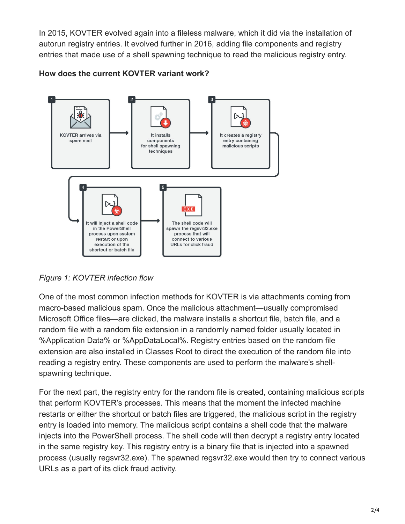In 2015, KOVTER evolved again into a fileless malware, which it did via the installation of autorun registry entries. It evolved further in 2016, adding file components and registry entries that made use of a shell spawning technique to read the malicious registry entry.



**How does the current KOVTER variant work?**

*Figure 1: KOVTER infection flow*

One of the most common infection methods for KOVTER is via attachments coming from macro-based malicious spam. Once the malicious attachment—usually compromised Microsoft Office files—are clicked, the malware installs a shortcut file, batch file, and a random file with a random file extension in a randomly named folder usually located in %Application Data% or %AppDataLocal%. Registry entries based on the random file extension are also installed in Classes Root to direct the execution of the random file into reading a registry entry. These components are used to perform the malware's shellspawning technique.

For the next part, the registry entry for the random file is created, containing malicious scripts that perform KOVTER's processes. This means that the moment the infected machine restarts or either the shortcut or batch files are triggered, the malicious script in the registry entry is loaded into memory. The malicious script contains a shell code that the malware injects into the PowerShell process. The shell code will then decrypt a registry entry located in the same registry key. This registry entry is a binary file that is injected into a spawned process (usually regsvr32.exe). The spawned regsvr32.exe would then try to connect various URLs as a part of its click fraud activity.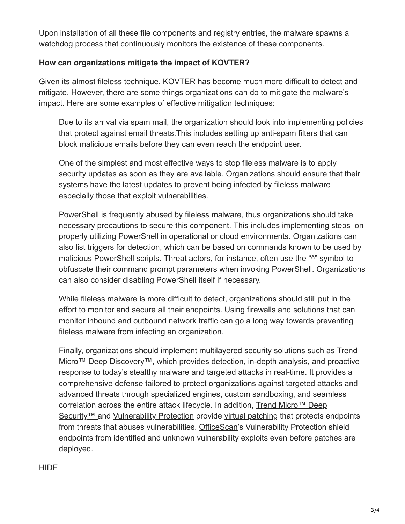Upon installation of all these file components and registry entries, the malware spawns a watchdog process that continuously monitors the existence of these components.

# **How can organizations mitigate the impact of KOVTER?**

Given its almost fileless technique, KOVTER has become much more difficult to detect and mitigate. However, there are some things organizations can do to mitigate the malware's impact. Here are some examples of effective mitigation techniques:

Due to its arrival via spam mail, the organization should look into implementing policies that protect against [email threats.](https://www.trendmicro.com/vinfo/us/security/news/cybercrime-and-digital-threats/infosec-guide-email-threats)This includes setting up anti-spam filters that can block malicious emails before they can even reach the endpoint user.

One of the simplest and most effective ways to stop fileless malware is to apply security updates as soon as they are available. Organizations should ensure that their systems have the latest updates to prevent being infected by fileless malware especially those that exploit vulnerabilities.

[PowerShell is frequently abused by fileless malware](https://www.trendmicro.com/vinfo/us/security/news/security-technology/security-101-the-rise-of-fileless-threats-that-abuse-powershell), thus organizations should take necessary precautions to secure this component. This includes implementing [steps](https://technet.microsoft.com/en-us/gg261722.aspx) on [properly utilizing PowerShell in operational or cloud environments](https://blogs.msdn.microsoft.com/powershell/2013/12/16/powershell-security-best-practices/). Organizations can also list triggers for detection, which can be based on commands known to be used by malicious PowerShell scripts. Threat actors, for instance, often use the "^" symbol to obfuscate their command prompt parameters when invoking PowerShell. Organizations can also consider disabling PowerShell itself if necessary.

While fileless malware is more difficult to detect, organizations should still put in the effort to monitor and secure all their endpoints. Using firewalls and solutions that can monitor inbound and outbound network traffic can go a long way towards preventing fileless malware from infecting an organization.

Finally, organizations should implement multilayered security solutions such as Trend [Micro™ Deep Discovery™, which provides detection, in-depth analysis, and proactive](https://www.trendmicro.com/us/enterprise/security-risk-management/deep-discovery/) response to today's stealthy malware and targeted attacks in real-time. It provides a comprehensive defense tailored to protect organizations against targeted attacks and advanced threats through specialized engines, custom [sandboxing](http://blog.trendmicro.com/trendlabs-security-intelligence/deploying-a-smart-sandbox-for-unknown-threats-and-zero-day-attacks/), and seamless [correlation across the entire attack lifecycle. In addition, Trend Micro™ Deep](https://www.trendmicro.com/us/enterprise/cloud-solutions/deep-security/index.html) Security™ and [Vulnerability Protection](https://www.trendmicro.com/us/enterprise/product-security/vulnerability-protection/) provide [virtual patching](https://www.trendmicro.com/us/enterprise/product-security/vulnerability-protection/) that protects endpoints from threats that abuses vulnerabilities. [OfficeScan](https://www.trendmicro.com/en_us/business/products/user-protection/sps/endpoint/officescan.html)'s Vulnerability Protection shield endpoints from identified and unknown vulnerability exploits even before patches are deployed.

### **HIDE**